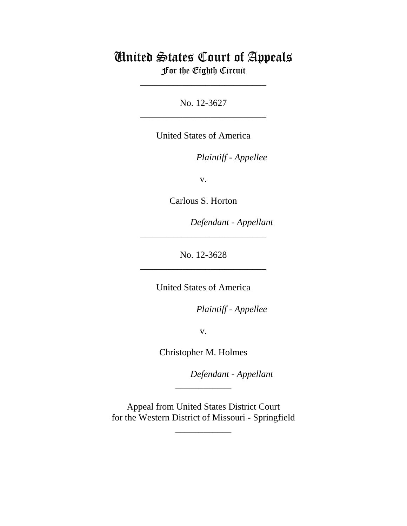# United States Court of Appeals For the Eighth Circuit

\_\_\_\_\_\_\_\_\_\_\_\_\_\_\_\_\_\_\_\_\_\_\_\_\_\_\_

No. 12-3627 \_\_\_\_\_\_\_\_\_\_\_\_\_\_\_\_\_\_\_\_\_\_\_\_\_\_\_

United States of America

*Plaintiff - Appellee* 

v.

Carlous S. Horton

lllllllllllllllllllll *Defendant - Appellant*

No. 12-3628 \_\_\_\_\_\_\_\_\_\_\_\_\_\_\_\_\_\_\_\_\_\_\_\_\_\_\_

\_\_\_\_\_\_\_\_\_\_\_\_\_\_\_\_\_\_\_\_\_\_\_\_\_\_\_

United States of America

*Plaintiff - Appellee* 

v.

Christopher M. Holmes

lllllllllllllllllllll *Defendant - Appellant*

 Appeal from United States District Court for the Western District of Missouri - Springfield

\_\_\_\_\_\_\_\_\_\_\_\_

\_\_\_\_\_\_\_\_\_\_\_\_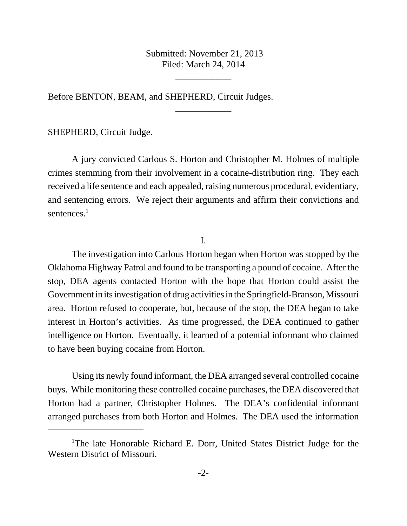Submitted: November 21, 2013 Filed: March 24, 2014

\_\_\_\_\_\_\_\_\_\_\_\_

\_\_\_\_\_\_\_\_\_\_\_\_

Before BENTON, BEAM, and SHEPHERD, Circuit Judges.

SHEPHERD, Circuit Judge.

A jury convicted Carlous S. Horton and Christopher M. Holmes of multiple crimes stemming from their involvement in a cocaine-distribution ring. They each received a life sentence and each appealed, raising numerous procedural, evidentiary, and sentencing errors. We reject their arguments and affirm their convictions and sentences.<sup>1</sup>

I.

The investigation into Carlous Horton began when Horton was stopped by the Oklahoma Highway Patrol and found to be transporting a pound of cocaine. After the stop, DEA agents contacted Horton with the hope that Horton could assist the Government in its investigation of drug activities in the Springfield-Branson, Missouri area. Horton refused to cooperate, but, because of the stop, the DEA began to take interest in Horton's activities. As time progressed, the DEA continued to gather intelligence on Horton. Eventually, it learned of a potential informant who claimed to have been buying cocaine from Horton.

Using its newly found informant, the DEA arranged several controlled cocaine buys. While monitoring these controlled cocaine purchases, the DEA discovered that Horton had a partner, Christopher Holmes. The DEA's confidential informant arranged purchases from both Horton and Holmes. The DEA used the information

<sup>&</sup>lt;sup>1</sup>The late Honorable Richard E. Dorr, United States District Judge for the Western District of Missouri.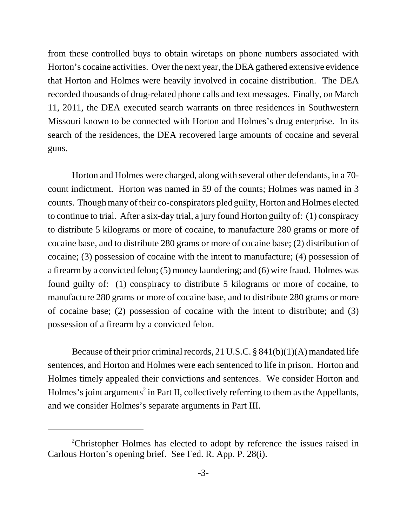from these controlled buys to obtain wiretaps on phone numbers associated with Horton's cocaine activities. Over the next year, the DEA gathered extensive evidence that Horton and Holmes were heavily involved in cocaine distribution. The DEA recorded thousands of drug-related phone calls and text messages. Finally, on March 11, 2011, the DEA executed search warrants on three residences in Southwestern Missouri known to be connected with Horton and Holmes's drug enterprise. In its search of the residences, the DEA recovered large amounts of cocaine and several guns.

Horton and Holmes were charged, along with several other defendants, in a 70 count indictment. Horton was named in 59 of the counts; Holmes was named in 3 counts. Though many of their co-conspirators pled guilty, Horton and Holmes elected to continue to trial. After a six-day trial, a jury found Horton guilty of: (1) conspiracy to distribute 5 kilograms or more of cocaine, to manufacture 280 grams or more of cocaine base, and to distribute 280 grams or more of cocaine base; (2) distribution of cocaine; (3) possession of cocaine with the intent to manufacture; (4) possession of a firearm by a convicted felon; (5) money laundering; and (6) wire fraud. Holmes was found guilty of: (1) conspiracy to distribute 5 kilograms or more of cocaine, to manufacture 280 grams or more of cocaine base, and to distribute 280 grams or more of cocaine base; (2) possession of cocaine with the intent to distribute; and (3) possession of a firearm by a convicted felon.

Because of their prior criminal records, 21 U.S.C. § 841(b)(1)(A) mandated life sentences, and Horton and Holmes were each sentenced to life in prison. Horton and Holmes timely appealed their convictions and sentences. We consider Horton and Holmes's joint arguments<sup>2</sup> in Part II, collectively referring to them as the Appellants, and we consider Holmes's separate arguments in Part III.

<sup>&</sup>lt;sup>2</sup>Christopher Holmes has elected to adopt by reference the issues raised in Carlous Horton's opening brief. See Fed. R. App. P. 28(i).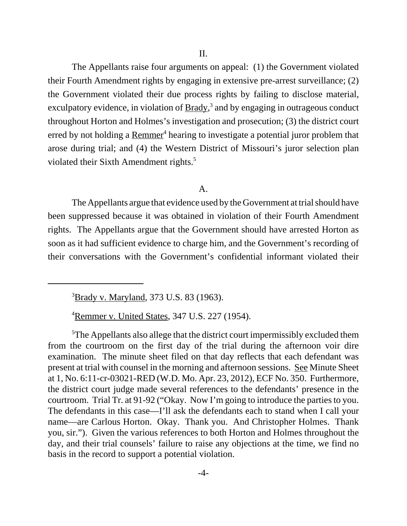The Appellants raise four arguments on appeal: (1) the Government violated their Fourth Amendment rights by engaging in extensive pre-arrest surveillance; (2) the Government violated their due process rights by failing to disclose material, exculpatory evidence, in violation of **Brady**,<sup>3</sup> and by engaging in outrageous conduct throughout Horton and Holmes's investigation and prosecution; (3) the district court erred by not holding a Remmer<sup>4</sup> hearing to investigate a potential juror problem that arose during trial; and (4) the Western District of Missouri's juror selection plan violated their Sixth Amendment rights.<sup>5</sup>

#### A.

The Appellants argue that evidence used by the Government at trial should have been suppressed because it was obtained in violation of their Fourth Amendment rights. The Appellants argue that the Government should have arrested Horton as soon as it had sufficient evidence to charge him, and the Government's recording of their conversations with the Government's confidential informant violated their

<sup>4</sup> Remmer v. United States, 347 U.S. 227 (1954).

<sup>&</sup>lt;sup>3</sup>Brady v. Maryland, 373 U.S. 83 (1963).

<sup>&</sup>lt;sup>5</sup>The Appellants also allege that the district court impermissibly excluded them from the courtroom on the first day of the trial during the afternoon voir dire examination. The minute sheet filed on that day reflects that each defendant was present at trial with counsel in the morning and afternoon sessions. See Minute Sheet at 1, No. 6:11-cr-03021-RED (W.D. Mo. Apr. 23, 2012), ECF No. 350. Furthermore, the district court judge made several references to the defendants' presence in the courtroom. Trial Tr. at 91-92 ("Okay. Now I'm going to introduce the parties to you. The defendants in this case—I'll ask the defendants each to stand when I call your name—are Carlous Horton. Okay. Thank you. And Christopher Holmes. Thank you, sir."). Given the various references to both Horton and Holmes throughout the day, and their trial counsels' failure to raise any objections at the time, we find no basis in the record to support a potential violation.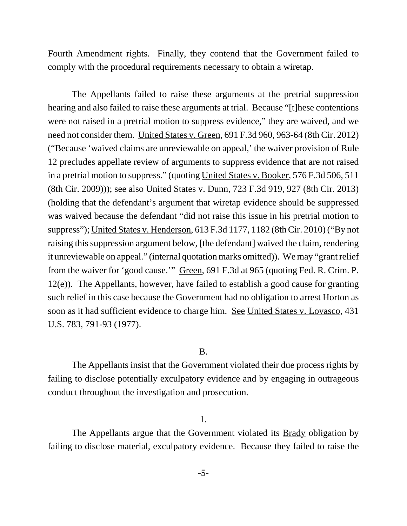Fourth Amendment rights. Finally, they contend that the Government failed to comply with the procedural requirements necessary to obtain a wiretap.

The Appellants failed to raise these arguments at the pretrial suppression hearing and also failed to raise these arguments at trial. Because "[t]hese contentions were not raised in a pretrial motion to suppress evidence," they are waived, and we need not consider them. United States v. Green, 691 F.3d 960, 963-64 (8th Cir. 2012) ("Because 'waived claims are unreviewable on appeal,' the waiver provision of Rule 12 precludes appellate review of arguments to suppress evidence that are not raised in a pretrial motion to suppress." (quoting United States v. Booker, 576 F.3d 506, 511 (8th Cir. 2009))); see also United States v. Dunn, 723 F.3d 919, 927 (8th Cir. 2013) (holding that the defendant's argument that wiretap evidence should be suppressed was waived because the defendant "did not raise this issue in his pretrial motion to suppress"); United States v. Henderson, 613 F.3d 1177, 1182 (8th Cir. 2010) ("By not raising this suppression argument below, [the defendant] waived the claim, rendering it unreviewable on appeal." (internal quotation marks omitted)). We may "grant relief from the waiver for 'good cause.'" Green, 691 F.3d at 965 (quoting Fed. R. Crim. P. 12(e)). The Appellants, however, have failed to establish a good cause for granting such relief in this case because the Government had no obligation to arrest Horton as soon as it had sufficient evidence to charge him. See United States v. Lovasco, 431 U.S. 783, 791-93 (1977).

#### B.

The Appellants insist that the Government violated their due process rights by failing to disclose potentially exculpatory evidence and by engaging in outrageous conduct throughout the investigation and prosecution.

#### 1.

The Appellants argue that the Government violated its Brady obligation by failing to disclose material, exculpatory evidence. Because they failed to raise the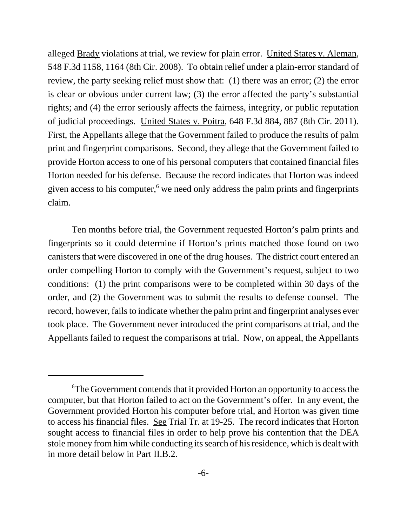alleged Brady violations at trial, we review for plain error. United States v. Aleman, 548 F.3d 1158, 1164 (8th Cir. 2008). To obtain relief under a plain-error standard of review, the party seeking relief must show that: (1) there was an error; (2) the error is clear or obvious under current law; (3) the error affected the party's substantial rights; and (4) the error seriously affects the fairness, integrity, or public reputation of judicial proceedings. United States v. Poitra, 648 F.3d 884, 887 (8th Cir. 2011). First, the Appellants allege that the Government failed to produce the results of palm print and fingerprint comparisons. Second, they allege that the Government failed to provide Horton access to one of his personal computers that contained financial files Horton needed for his defense. Because the record indicates that Horton was indeed given access to his computer,<sup>6</sup> we need only address the palm prints and fingerprints claim.

Ten months before trial, the Government requested Horton's palm prints and fingerprints so it could determine if Horton's prints matched those found on two canisters that were discovered in one of the drug houses. The district court entered an order compelling Horton to comply with the Government's request, subject to two conditions: (1) the print comparisons were to be completed within 30 days of the order, and (2) the Government was to submit the results to defense counsel. The record, however, fails to indicate whether the palm print and fingerprint analyses ever took place. The Government never introduced the print comparisons at trial, and the Appellants failed to request the comparisons at trial. Now, on appeal, the Appellants

<sup>6</sup> The Government contends that it provided Horton an opportunity to access the computer, but that Horton failed to act on the Government's offer. In any event, the Government provided Horton his computer before trial, and Horton was given time to access his financial files. See Trial Tr. at 19-25. The record indicates that Horton sought access to financial files in order to help prove his contention that the DEA stole money from him while conducting its search of his residence, which is dealt with in more detail below in Part II.B.2.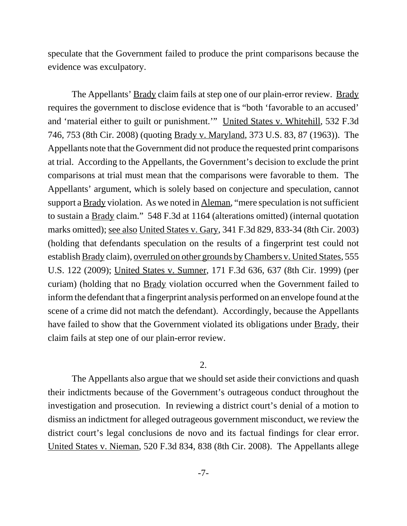speculate that the Government failed to produce the print comparisons because the evidence was exculpatory.

The Appellants' Brady claim fails at step one of our plain-error review. Brady requires the government to disclose evidence that is "both 'favorable to an accused' and 'material either to guilt or punishment.'" United States v. Whitehill, 532 F.3d 746, 753 (8th Cir. 2008) (quoting Brady v. Maryland, 373 U.S. 83, 87 (1963)). The Appellants note that the Government did not produce the requested print comparisons at trial. According to the Appellants, the Government's decision to exclude the print comparisons at trial must mean that the comparisons were favorable to them. The Appellants' argument, which is solely based on conjecture and speculation, cannot support a **Brady** violation. As we noted in **Aleman**, "mere speculation is not sufficient to sustain a Brady claim." 548 F.3d at 1164 (alterations omitted) (internal quotation marks omitted); see also United States v. Gary, 341 F.3d 829, 833-34 (8th Cir. 2003) (holding that defendants speculation on the results of a fingerprint test could not establish Brady claim), overruled on other grounds by Chambers v. United States, 555 U.S. 122 (2009); United States v. Sumner, 171 F.3d 636, 637 (8th Cir. 1999) (per curiam) (holding that no Brady violation occurred when the Government failed to inform the defendant that a fingerprint analysis performed on an envelope found at the scene of a crime did not match the defendant). Accordingly, because the Appellants have failed to show that the Government violated its obligations under <u>Brady</u>, their claim fails at step one of our plain-error review.

# 2.

The Appellants also argue that we should set aside their convictions and quash their indictments because of the Government's outrageous conduct throughout the investigation and prosecution. In reviewing a district court's denial of a motion to dismiss an indictment for alleged outrageous government misconduct, we review the district court's legal conclusions de novo and its factual findings for clear error. United States v. Nieman, 520 F.3d 834, 838 (8th Cir. 2008). The Appellants allege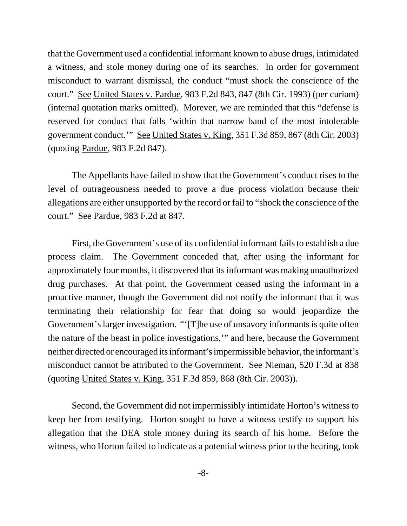that the Government used a confidential informant known to abuse drugs, intimidated a witness, and stole money during one of its searches. In order for government misconduct to warrant dismissal, the conduct "must shock the conscience of the court." See United States v. Pardue, 983 F.2d 843, 847 (8th Cir. 1993) (per curiam) (internal quotation marks omitted). Morever, we are reminded that this "defense is reserved for conduct that falls 'within that narrow band of the most intolerable government conduct.'" See United States v. King, 351 F.3d 859, 867 (8th Cir. 2003) (quoting Pardue, 983 F.2d 847).

The Appellants have failed to show that the Government's conduct rises to the level of outrageousness needed to prove a due process violation because their allegations are either unsupported by the record or fail to "shock the conscience of the court." See Pardue, 983 F.2d at 847.

First, the Government's use of its confidential informant fails to establish a due process claim. The Government conceded that, after using the informant for approximately four months, it discovered that its informant was making unauthorized drug purchases. At that point, the Government ceased using the informant in a proactive manner, though the Government did not notify the informant that it was terminating their relationship for fear that doing so would jeopardize the Government's larger investigation. "'[T]he use of unsavory informants is quite often the nature of the beast in police investigations,'" and here, because the Government neither directed or encouraged its informant's impermissible behavior, the informant's misconduct cannot be attributed to the Government. See Nieman, 520 F.3d at 838 (quoting United States v. King, 351 F.3d 859, 868 (8th Cir. 2003)).

Second, the Government did not impermissibly intimidate Horton's witness to keep her from testifying. Horton sought to have a witness testify to support his allegation that the DEA stole money during its search of his home. Before the witness, who Horton failed to indicate as a potential witness prior to the hearing, took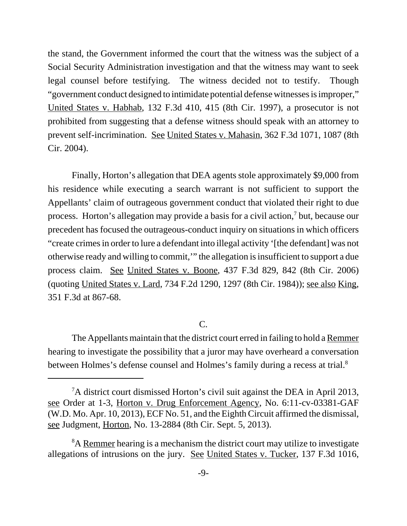the stand, the Government informed the court that the witness was the subject of a Social Security Administration investigation and that the witness may want to seek legal counsel before testifying. The witness decided not to testify. Though "government conduct designed to intimidate potential defense witnesses is improper," United States v. Habhab, 132 F.3d 410, 415 (8th Cir. 1997), a prosecutor is not prohibited from suggesting that a defense witness should speak with an attorney to prevent self-incrimination. See United States v. Mahasin, 362 F.3d 1071, 1087 (8th Cir. 2004).

Finally, Horton's allegation that DEA agents stole approximately \$9,000 from his residence while executing a search warrant is not sufficient to support the Appellants' claim of outrageous government conduct that violated their right to due process. Horton's allegation may provide a basis for a civil action, $\frac{7}{7}$  but, because our precedent has focused the outrageous-conduct inquiry on situations in which officers "create crimes in order to lure a defendant into illegal activity '[the defendant] was not otherwise ready and willing to commit,'" the allegation is insufficient to support a due process claim. See United States v. Boone, 437 F.3d 829, 842 (8th Cir. 2006) (quoting United States v. Lard, 734 F.2d 1290, 1297 (8th Cir. 1984)); see also King, 351 F.3d at 867-68.

# C.

The Appellants maintain that the district court erred in failing to hold a Remmer hearing to investigate the possibility that a juror may have overheard a conversation between Holmes's defense counsel and Holmes's family during a recess at trial.8

<sup>&</sup>lt;sup>7</sup>A district court dismissed Horton's civil suit against the DEA in April 2013, see Order at 1-3, Horton v. Drug Enforcement Agency, No. 6:11-cv-03381-GAF (W.D. Mo. Apr. 10, 2013), ECF No. 51, and the Eighth Circuit affirmed the dismissal, see Judgment, Horton, No. 13-2884 (8th Cir. Sept. 5, 2013).

<sup>&</sup>lt;sup>8</sup>A Remmer hearing is a mechanism the district court may utilize to investigate allegations of intrusions on the jury. See United States v. Tucker, 137 F.3d 1016,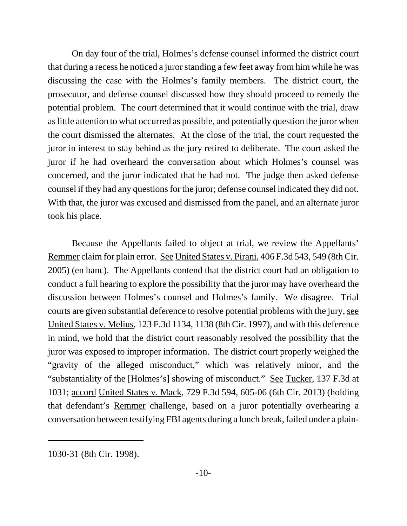On day four of the trial, Holmes's defense counsel informed the district court that during a recess he noticed a juror standing a few feet away from him while he was discussing the case with the Holmes's family members. The district court, the prosecutor, and defense counsel discussed how they should proceed to remedy the potential problem. The court determined that it would continue with the trial, draw as little attention to what occurred as possible, and potentially question the juror when the court dismissed the alternates. At the close of the trial, the court requested the juror in interest to stay behind as the jury retired to deliberate. The court asked the juror if he had overheard the conversation about which Holmes's counsel was concerned, and the juror indicated that he had not. The judge then asked defense counsel if they had any questions for the juror; defense counsel indicated they did not. With that, the juror was excused and dismissed from the panel, and an alternate juror took his place.

Because the Appellants failed to object at trial, we review the Appellants' Remmer claim for plain error. See United States v. Pirani, 406 F.3d 543, 549 (8th Cir. 2005) (en banc). The Appellants contend that the district court had an obligation to conduct a full hearing to explore the possibility that the juror may have overheard the discussion between Holmes's counsel and Holmes's family. We disagree. Trial courts are given substantial deference to resolve potential problems with the jury, see United States v. Melius, 123 F.3d 1134, 1138 (8th Cir. 1997), and with this deference in mind, we hold that the district court reasonably resolved the possibility that the juror was exposed to improper information. The district court properly weighed the "gravity of the alleged misconduct," which was relatively minor, and the "substantiality of the [Holmes's] showing of misconduct." See Tucker, 137 F.3d at 1031; accord United States v. Mack, 729 F.3d 594, 605-06 (6th Cir. 2013) (holding that defendant's Remmer challenge, based on a juror potentially overhearing a conversation between testifying FBI agents during a lunch break, failed under a plain-

<sup>1030-31 (8</sup>th Cir. 1998).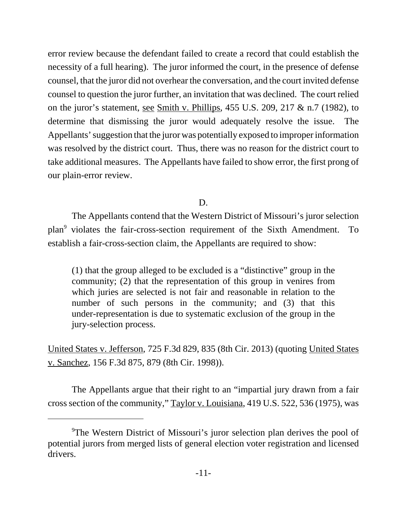error review because the defendant failed to create a record that could establish the necessity of a full hearing). The juror informed the court, in the presence of defense counsel, that the juror did not overhear the conversation, and the court invited defense counsel to question the juror further, an invitation that was declined. The court relied on the juror's statement, <u>see Smith v. Phillips</u>,  $455$  U.S.  $209$ ,  $217 \& n.7$  (1982), to determine that dismissing the juror would adequately resolve the issue. The Appellants' suggestion that the juror was potentially exposed to improper information was resolved by the district court. Thus, there was no reason for the district court to take additional measures. The Appellants have failed to show error, the first prong of our plain-error review.

D.

The Appellants contend that the Western District of Missouri's juror selection plan9 violates the fair-cross-section requirement of the Sixth Amendment. To establish a fair-cross-section claim, the Appellants are required to show:

(1) that the group alleged to be excluded is a "distinctive" group in the community; (2) that the representation of this group in venires from which juries are selected is not fair and reasonable in relation to the number of such persons in the community; and (3) that this under-representation is due to systematic exclusion of the group in the jury-selection process.

United States v. Jefferson, 725 F.3d 829, 835 (8th Cir. 2013) (quoting United States v. Sanchez, 156 F.3d 875, 879 (8th Cir. 1998)).

The Appellants argue that their right to an "impartial jury drawn from a fair cross section of the community," Taylor v. Louisiana, 419 U.S. 522, 536 (1975), was

<sup>&</sup>lt;sup>9</sup>The Western District of Missouri's juror selection plan derives the pool of potential jurors from merged lists of general election voter registration and licensed drivers.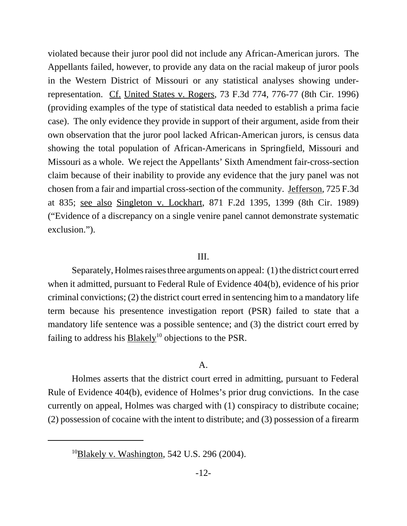violated because their juror pool did not include any African-American jurors. The Appellants failed, however, to provide any data on the racial makeup of juror pools in the Western District of Missouri or any statistical analyses showing underrepresentation. Cf. United States v. Rogers, 73 F.3d 774, 776-77 (8th Cir. 1996) (providing examples of the type of statistical data needed to establish a prima facie case). The only evidence they provide in support of their argument, aside from their own observation that the juror pool lacked African-American jurors, is census data showing the total population of African-Americans in Springfield, Missouri and Missouri as a whole. We reject the Appellants' Sixth Amendment fair-cross-section claim because of their inability to provide any evidence that the jury panel was not chosen from a fair and impartial cross-section of the community. Jefferson, 725 F.3d at 835; see also Singleton v. Lockhart, 871 F.2d 1395, 1399 (8th Cir. 1989) ("Evidence of a discrepancy on a single venire panel cannot demonstrate systematic exclusion.").

#### III.

Separately, Holmes raises three arguments on appeal: (1) the district court erred when it admitted, pursuant to Federal Rule of Evidence 404(b), evidence of his prior criminal convictions; (2) the district court erred in sentencing him to a mandatory life term because his presentence investigation report (PSR) failed to state that a mandatory life sentence was a possible sentence; and (3) the district court erred by failing to address his  $B$ lakely<sup>10</sup> objections to the PSR.

# A.

Holmes asserts that the district court erred in admitting, pursuant to Federal Rule of Evidence 404(b), evidence of Holmes's prior drug convictions. In the case currently on appeal, Holmes was charged with (1) conspiracy to distribute cocaine; (2) possession of cocaine with the intent to distribute; and (3) possession of a firearm

<sup>&</sup>lt;sup>10</sup>Blakely v. Washington, 542 U.S. 296 (2004).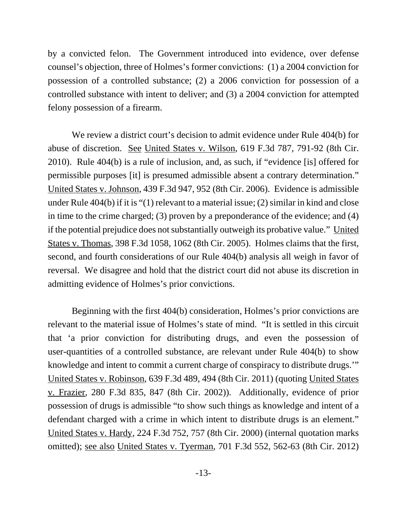by a convicted felon. The Government introduced into evidence, over defense counsel's objection, three of Holmes's former convictions: (1) a 2004 conviction for possession of a controlled substance; (2) a 2006 conviction for possession of a controlled substance with intent to deliver; and (3) a 2004 conviction for attempted felony possession of a firearm.

We review a district court's decision to admit evidence under Rule 404(b) for abuse of discretion. See United States v. Wilson, 619 F.3d 787, 791-92 (8th Cir. 2010). Rule 404(b) is a rule of inclusion, and, as such, if "evidence [is] offered for permissible purposes [it] is presumed admissible absent a contrary determination." United States v. Johnson, 439 F.3d 947, 952 (8th Cir. 2006). Evidence is admissible under Rule 404(b) if it is "(1) relevant to a material issue; (2) similar in kind and close in time to the crime charged; (3) proven by a preponderance of the evidence; and (4) if the potential prejudice does not substantially outweigh its probative value." United States v. Thomas, 398 F.3d 1058, 1062 (8th Cir. 2005). Holmes claims that the first, second, and fourth considerations of our Rule 404(b) analysis all weigh in favor of reversal. We disagree and hold that the district court did not abuse its discretion in admitting evidence of Holmes's prior convictions.

Beginning with the first 404(b) consideration, Holmes's prior convictions are relevant to the material issue of Holmes's state of mind. "It is settled in this circuit that 'a prior conviction for distributing drugs, and even the possession of user-quantities of a controlled substance, are relevant under Rule 404(b) to show knowledge and intent to commit a current charge of conspiracy to distribute drugs.'" United States v. Robinson, 639 F.3d 489, 494 (8th Cir. 2011) (quoting United States v. Frazier, 280 F.3d 835, 847 (8th Cir. 2002)). Additionally, evidence of prior possession of drugs is admissible "to show such things as knowledge and intent of a defendant charged with a crime in which intent to distribute drugs is an element." United States v. Hardy, 224 F.3d 752, 757 (8th Cir. 2000) (internal quotation marks omitted); see also United States v. Tyerman, 701 F.3d 552, 562-63 (8th Cir. 2012)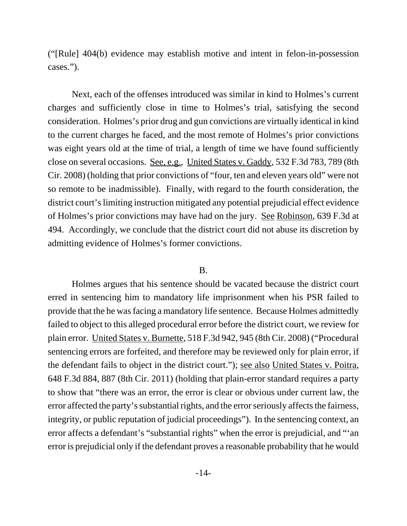("[Rule] 404(b) evidence may establish motive and intent in felon-in-possession cases.").

Next, each of the offenses introduced was similar in kind to Holmes's current charges and sufficiently close in time to Holmes's trial, satisfying the second consideration. Holmes's prior drug and gun convictions are virtually identical in kind to the current charges he faced, and the most remote of Holmes's prior convictions was eight years old at the time of trial, a length of time we have found sufficiently close on several occasions. See, e.g., United States v. Gaddy, 532 F.3d 783, 789 (8th Cir. 2008) (holding that prior convictions of "four, ten and eleven years old" were not so remote to be inadmissible). Finally, with regard to the fourth consideration, the district court's limiting instruction mitigated any potential prejudicial effect evidence of Holmes's prior convictions may have had on the jury. See Robinson, 639 F.3d at 494. Accordingly, we conclude that the district court did not abuse its discretion by admitting evidence of Holmes's former convictions.

#### B.

Holmes argues that his sentence should be vacated because the district court erred in sentencing him to mandatory life imprisonment when his PSR failed to provide that the he was facing a mandatory life sentence. Because Holmes admittedly failed to object to this alleged procedural error before the district court, we review for plain error. United States v. Burnette, 518 F.3d 942, 945 (8th Cir. 2008) ("Procedural sentencing errors are forfeited, and therefore may be reviewed only for plain error, if the defendant fails to object in the district court."); see also United States v. Poitra, 648 F.3d 884, 887 (8th Cir. 2011) (holding that plain-error standard requires a party to show that "there was an error, the error is clear or obvious under current law, the error affected the party's substantial rights, and the error seriously affects the fairness, integrity, or public reputation of judicial proceedings"). In the sentencing context, an error affects a defendant's "substantial rights" when the error is prejudicial, and "'an error is prejudicial only if the defendant proves a reasonable probability that he would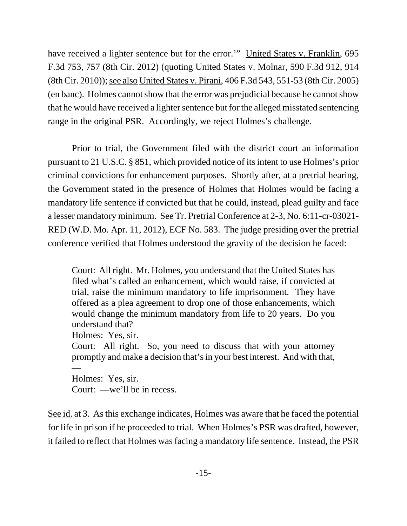have received a lighter sentence but for the error.'" United States v. Franklin, 695 F.3d 753, 757 (8th Cir. 2012) (quoting United States v. Molnar, 590 F.3d 912, 914 (8th Cir. 2010)); see also United States v. Pirani, 406 F.3d 543, 551-53 (8th Cir. 2005) (en banc). Holmes cannot show that the error was prejudicial because he cannot show that he would have received a lighter sentence but for the alleged misstated sentencing range in the original PSR. Accordingly, we reject Holmes's challenge.

Prior to trial, the Government filed with the district court an information pursuant to 21 U.S.C. § 851, which provided notice of its intent to use Holmes's prior criminal convictions for enhancement purposes. Shortly after, at a pretrial hearing, the Government stated in the presence of Holmes that Holmes would be facing a mandatory life sentence if convicted but that he could, instead, plead guilty and face a lesser mandatory minimum. See Tr. Pretrial Conference at 2-3, No. 6:11-cr-03021- RED (W.D. Mo. Apr. 11, 2012), ECF No. 583. The judge presiding over the pretrial conference verified that Holmes understood the gravity of the decision he faced:

Court: All right. Mr. Holmes, you understand that the United States has filed what's called an enhancement, which would raise, if convicted at trial, raise the minimum mandatory to life imprisonment. They have offered as a plea agreement to drop one of those enhancements, which would change the minimum mandatory from life to 20 years. Do you understand that?

Holmes: Yes, sir.

Court: All right. So, you need to discuss that with your attorney promptly and make a decision that's in your best interest. And with that, —

Holmes: Yes, sir. Court: —we'll be in recess.

See id. at 3. As this exchange indicates, Holmes was aware that he faced the potential for life in prison if he proceeded to trial. When Holmes's PSR was drafted, however, it failed to reflect that Holmes was facing a mandatory life sentence. Instead, the PSR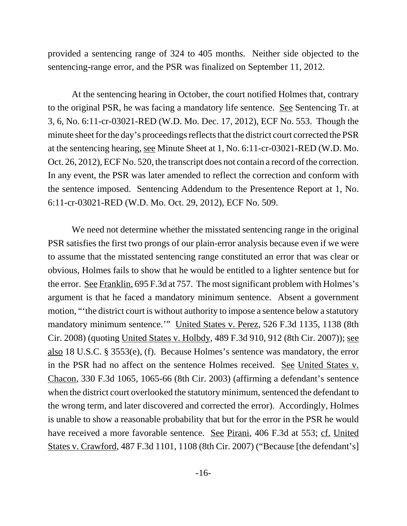provided a sentencing range of 324 to 405 months. Neither side objected to the sentencing-range error, and the PSR was finalized on September 11, 2012.

At the sentencing hearing in October, the court notified Holmes that, contrary to the original PSR, he was facing a mandatory life sentence. See Sentencing Tr. at 3, 6, No. 6:11-cr-03021-RED (W.D. Mo. Dec. 17, 2012), ECF No. 553. Though the minute sheet for the day's proceedings reflects that the district court corrected the PSR at the sentencing hearing, see Minute Sheet at 1, No. 6:11-cr-03021-RED (W.D. Mo. Oct. 26, 2012), ECF No. 520, the transcript does not contain a record of the correction. In any event, the PSR was later amended to reflect the correction and conform with the sentence imposed. Sentencing Addendum to the Presentence Report at 1, No. 6:11-cr-03021-RED (W.D. Mo. Oct. 29, 2012), ECF No. 509.

We need not determine whether the misstated sentencing range in the original PSR satisfies the first two prongs of our plain-error analysis because even if we were to assume that the misstated sentencing range constituted an error that was clear or obvious, Holmes fails to show that he would be entitled to a lighter sentence but for the error. See Franklin, 695 F.3d at 757. The most significant problem with Holmes's argument is that he faced a mandatory minimum sentence. Absent a government motion, "'the district court is without authority to impose a sentence below a statutory mandatory minimum sentence." United States v. Perez, 526 F.3d 1135, 1138 (8th Cir. 2008) (quoting United States v. Holbdy, 489 F.3d 910, 912 (8th Cir. 2007)); see also 18 U.S.C. § 3553(e), (f). Because Holmes's sentence was mandatory, the error in the PSR had no affect on the sentence Holmes received. See United States v. Chacon, 330 F.3d 1065, 1065-66 (8th Cir. 2003) (affirming a defendant's sentence when the district court overlooked the statutory minimum, sentenced the defendant to the wrong term, and later discovered and corrected the error). Accordingly, Holmes is unable to show a reasonable probability that but for the error in the PSR he would have received a more favorable sentence. See Pirani, 406 F.3d at 553; cf. United States v. Crawford, 487 F.3d 1101, 1108 (8th Cir. 2007) ("Because [the defendant's]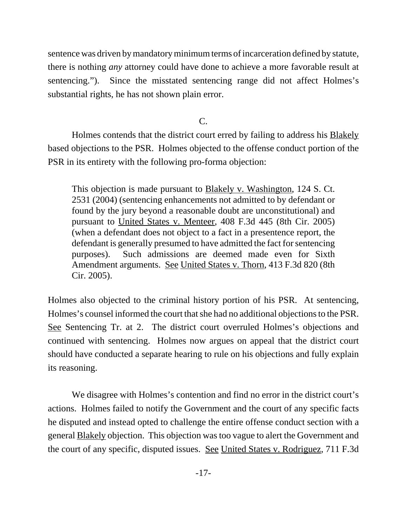sentence was driven by mandatory minimum terms of incarceration defined by statute, there is nothing *any* attorney could have done to achieve a more favorable result at sentencing."). Since the misstated sentencing range did not affect Holmes's substantial rights, he has not shown plain error.

C.

Holmes contends that the district court erred by failing to address his Blakely based objections to the PSR. Holmes objected to the offense conduct portion of the PSR in its entirety with the following pro-forma objection:

This objection is made pursuant to **Blakely v. Washington**, 124 S. Ct. 2531 (2004) (sentencing enhancements not admitted to by defendant or found by the jury beyond a reasonable doubt are unconstitutional) and pursuant to United States v. Menteer, 408 F.3d 445 (8th Cir. 2005) (when a defendant does not object to a fact in a presentence report, the defendant is generally presumed to have admitted the fact for sentencing purposes). Such admissions are deemed made even for Sixth Amendment arguments. See United States v. Thorn, 413 F.3d 820 (8th Cir. 2005).

Holmes also objected to the criminal history portion of his PSR. At sentencing, Holmes's counsel informed the court that she had no additional objections to the PSR. See Sentencing Tr. at 2. The district court overruled Holmes's objections and continued with sentencing. Holmes now argues on appeal that the district court should have conducted a separate hearing to rule on his objections and fully explain its reasoning.

We disagree with Holmes's contention and find no error in the district court's actions. Holmes failed to notify the Government and the court of any specific facts he disputed and instead opted to challenge the entire offense conduct section with a general Blakely objection. This objection was too vague to alert the Government and the court of any specific, disputed issues. See United States v. Rodriguez, 711 F.3d